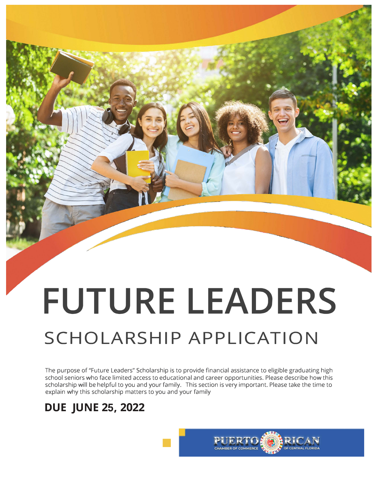# **FUTURE LEADERS**

# **SCHOLARSHIP APPLICATION**

The purpose of "Future Leaders" Scholarship is to provide financial assistance to eligible graduating high school seniors who face limited access to educational and career opportunities. Please describe how this scholarship will be helpful to you and your family. This section is very important. Please take the time to explain why this scholarship matters to you and your family

# **DUE JUNE 25, 2022**

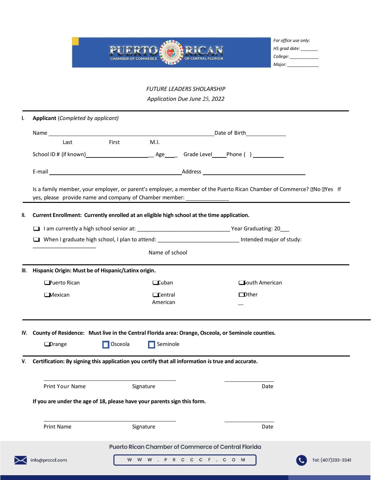

*For office use only: HS grad date: \_\_\_\_\_\_\_ College: \_\_\_\_\_\_\_\_\_\_\_\_ Major: \_\_\_\_\_\_\_\_\_\_\_\_\_*

*FUTURE LEADERS SHOLARSHIP Application Due June 25, 2022*

| ı.  | Applicant (Completed by applicant)                                                                                       |                                                     |                             |                       |                    |  |  |
|-----|--------------------------------------------------------------------------------------------------------------------------|-----------------------------------------------------|-----------------------------|-----------------------|--------------------|--|--|
|     |                                                                                                                          |                                                     |                             |                       |                    |  |  |
|     | Last                                                                                                                     | M.I.<br>First                                       |                             |                       |                    |  |  |
|     |                                                                                                                          |                                                     |                             |                       |                    |  |  |
|     |                                                                                                                          |                                                     |                             |                       |                    |  |  |
|     | Is a family member, your employer, or parent's employer, a member of the Puerto Rican Chamber of Commerce? [INo IIYes If |                                                     |                             |                       |                    |  |  |
| II. | Current Enrollment: Currently enrolled at an eligible high school at the time application.                               |                                                     |                             |                       |                    |  |  |
|     |                                                                                                                          |                                                     |                             |                       |                    |  |  |
|     | When I graduate high school, I plan to attend: _____________________________ Intended major of study:                    |                                                     |                             |                       |                    |  |  |
|     |                                                                                                                          |                                                     |                             |                       |                    |  |  |
| Ш.  | Hispanic Origin: Must be of Hispanic/Latinx origin.                                                                      |                                                     |                             |                       |                    |  |  |
|     | <b>Puerto Rican</b>                                                                                                      | $\Box$ Cuban                                        |                             | <b>South American</b> |                    |  |  |
|     | <b>I</b> Mexican                                                                                                         | $\Box$ Central<br>American                          |                             | $\Box$ Other          |                    |  |  |
|     | IV. County of Residence: Must live in the Central Florida area: Orange, Osceola, or Seminole counties.<br>$\Box$ Drange  | $\Box$ Osceola<br>H 1                               | Seminole                    |                       |                    |  |  |
| V.  | Certification: By signing this application you certify that all information is true and accurate.                        |                                                     |                             |                       |                    |  |  |
|     | Print Your Name                                                                                                          | Signature                                           |                             | Date                  |                    |  |  |
|     | If you are under the age of 18, please have your parents sign this form.                                                 |                                                     |                             |                       |                    |  |  |
|     | <b>Print Name</b>                                                                                                        | Signature                                           |                             | Date                  |                    |  |  |
|     |                                                                                                                          | Puerto Rican Chamber of Commerce of Central Florida |                             |                       |                    |  |  |
|     | info@prcccf.com                                                                                                          |                                                     | W W W . P R C C C F . C O M |                       | Tel: (407)233-3341 |  |  |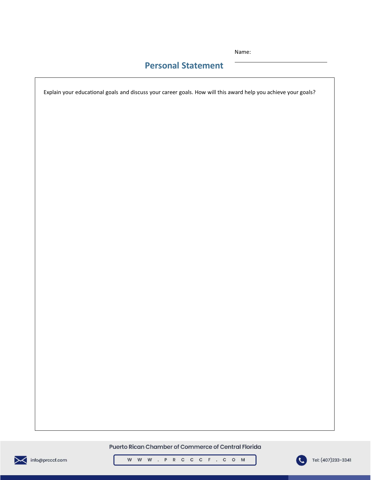Name:

### **Personal Statement**

Explain your educational goals and discuss your career goals. How will this award help you achieve your goals?

Puerto Rican Chamber of Commerce of Central Florida



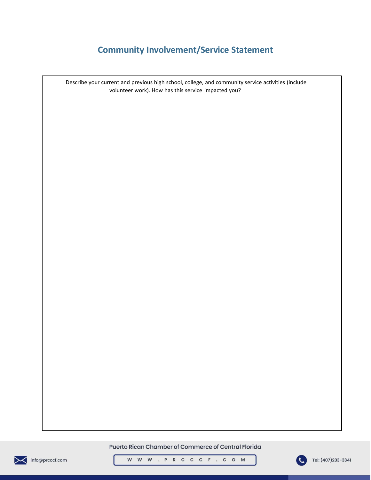# **Community Involvement/Service Statement**

Describe your current and previous high school, college, and community service activities (include volunteer work). How has this service impacted you?

Puerto Rican Chamber of Commerce of Central Florida





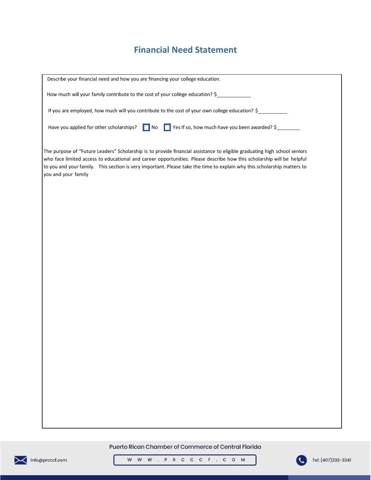### **Financial Need Statement**

| Describe your financial need and how you are financing your college education.                                                                                                                                                                                                                                                                                                                       |  |  |  |  |  |  |  |  |
|------------------------------------------------------------------------------------------------------------------------------------------------------------------------------------------------------------------------------------------------------------------------------------------------------------------------------------------------------------------------------------------------------|--|--|--|--|--|--|--|--|
| How much will your family contribute to the cost of your college education? \$                                                                                                                                                                                                                                                                                                                       |  |  |  |  |  |  |  |  |
| If you are employed, how much will you contribute to the cost of your own college education? \$                                                                                                                                                                                                                                                                                                      |  |  |  |  |  |  |  |  |
|                                                                                                                                                                                                                                                                                                                                                                                                      |  |  |  |  |  |  |  |  |
| Yes If so, how much have you been awarded? \$<br>Have you applied for other scholarships?<br>$\blacksquare$ No                                                                                                                                                                                                                                                                                       |  |  |  |  |  |  |  |  |
| The purpose of "Future Leaders" Scholarship is to provide financial assistance to eligible graduating high school seniors<br>who face limited access to educational and career opportunities. Please describe how this scholarship will be helpful<br>to you and your family. This section is very important. Please take the time to explain why this scholarship matters to<br>you and your family |  |  |  |  |  |  |  |  |
|                                                                                                                                                                                                                                                                                                                                                                                                      |  |  |  |  |  |  |  |  |
|                                                                                                                                                                                                                                                                                                                                                                                                      |  |  |  |  |  |  |  |  |
|                                                                                                                                                                                                                                                                                                                                                                                                      |  |  |  |  |  |  |  |  |
|                                                                                                                                                                                                                                                                                                                                                                                                      |  |  |  |  |  |  |  |  |
|                                                                                                                                                                                                                                                                                                                                                                                                      |  |  |  |  |  |  |  |  |
|                                                                                                                                                                                                                                                                                                                                                                                                      |  |  |  |  |  |  |  |  |
|                                                                                                                                                                                                                                                                                                                                                                                                      |  |  |  |  |  |  |  |  |
|                                                                                                                                                                                                                                                                                                                                                                                                      |  |  |  |  |  |  |  |  |
|                                                                                                                                                                                                                                                                                                                                                                                                      |  |  |  |  |  |  |  |  |
|                                                                                                                                                                                                                                                                                                                                                                                                      |  |  |  |  |  |  |  |  |
|                                                                                                                                                                                                                                                                                                                                                                                                      |  |  |  |  |  |  |  |  |
|                                                                                                                                                                                                                                                                                                                                                                                                      |  |  |  |  |  |  |  |  |
|                                                                                                                                                                                                                                                                                                                                                                                                      |  |  |  |  |  |  |  |  |
|                                                                                                                                                                                                                                                                                                                                                                                                      |  |  |  |  |  |  |  |  |
|                                                                                                                                                                                                                                                                                                                                                                                                      |  |  |  |  |  |  |  |  |
|                                                                                                                                                                                                                                                                                                                                                                                                      |  |  |  |  |  |  |  |  |
|                                                                                                                                                                                                                                                                                                                                                                                                      |  |  |  |  |  |  |  |  |
|                                                                                                                                                                                                                                                                                                                                                                                                      |  |  |  |  |  |  |  |  |
|                                                                                                                                                                                                                                                                                                                                                                                                      |  |  |  |  |  |  |  |  |
|                                                                                                                                                                                                                                                                                                                                                                                                      |  |  |  |  |  |  |  |  |
|                                                                                                                                                                                                                                                                                                                                                                                                      |  |  |  |  |  |  |  |  |
|                                                                                                                                                                                                                                                                                                                                                                                                      |  |  |  |  |  |  |  |  |
|                                                                                                                                                                                                                                                                                                                                                                                                      |  |  |  |  |  |  |  |  |

#### Puerto Rican Chamber of Commerce of Central Florida